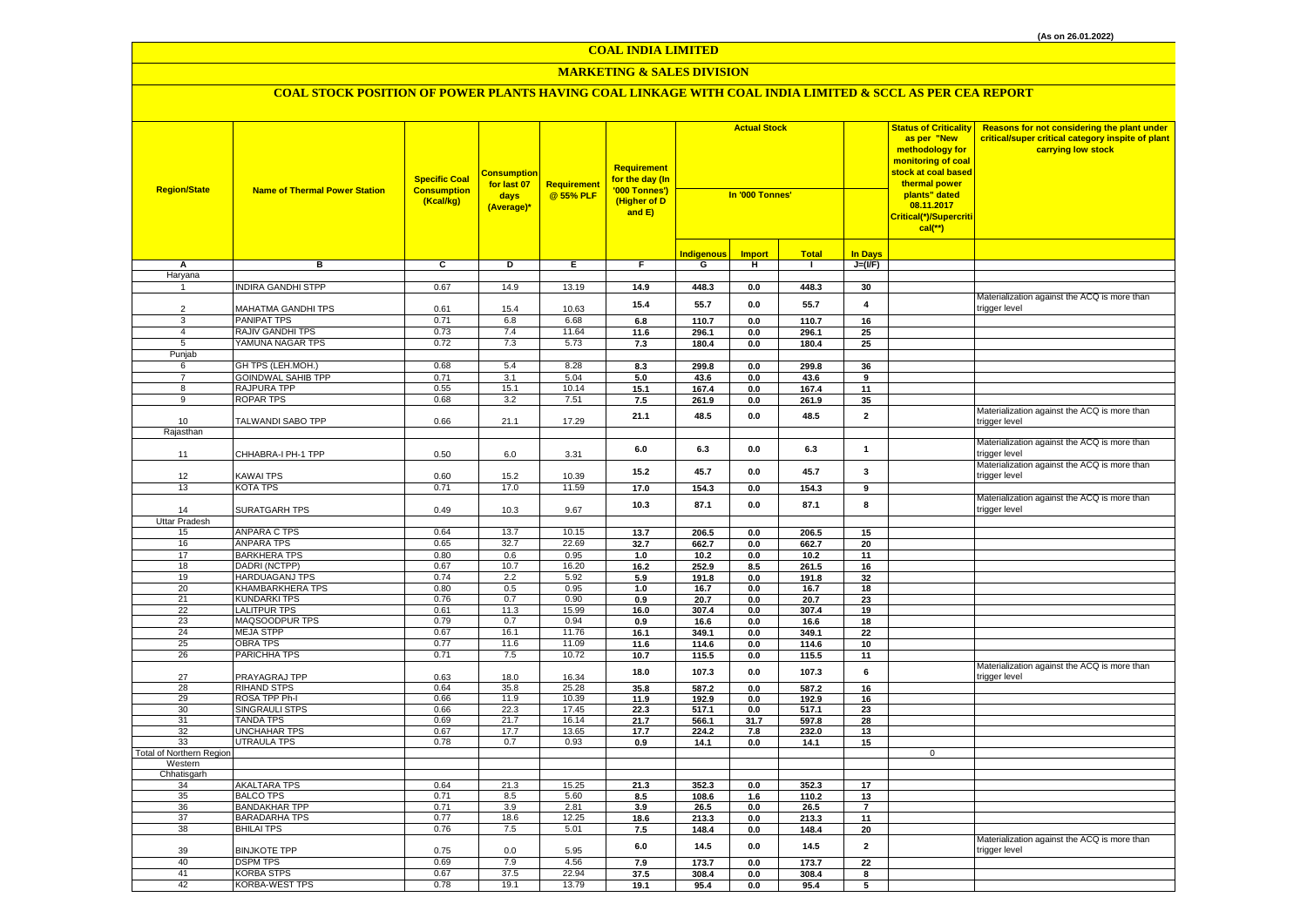## **MARKETING & SALES DIVISION**

| <b>Region/State</b>      | <b>Name of Thermal Power Station</b>   | <b>Specific Coal</b><br><b>Consumption</b><br>(Kcal/kg) | <b>Consumption</b><br>for last 07<br>days<br>(Average)* | <b>Requirement</b><br>@ 55% PLF | <b>Requirement</b><br>for the day (In<br>'000 Tonnes')<br>(Higher of D<br>and E) | <b>Actual Stock</b><br>In '000 Tonnes' |                |                | <b>Status of Criticality</b><br>as per "New<br>methodology for<br>monitoring of coal<br><mark>stock at coal based</mark><br>thermal power<br>plants" dated<br>08.11.2017<br>Critical(*)/Supercriti<br>$cal$ (**) | Reasons for not considering the plant under<br>critical/super critical category inspite of plant<br>carrying low stock |                                                               |
|--------------------------|----------------------------------------|---------------------------------------------------------|---------------------------------------------------------|---------------------------------|----------------------------------------------------------------------------------|----------------------------------------|----------------|----------------|------------------------------------------------------------------------------------------------------------------------------------------------------------------------------------------------------------------|------------------------------------------------------------------------------------------------------------------------|---------------------------------------------------------------|
|                          |                                        |                                                         |                                                         |                                 |                                                                                  |                                        |                |                |                                                                                                                                                                                                                  |                                                                                                                        |                                                               |
|                          |                                        |                                                         |                                                         |                                 |                                                                                  | <b>Indigenous</b>                      | <b>Import</b>  | <b>Total</b>   | <b>In Days</b>                                                                                                                                                                                                   |                                                                                                                        |                                                               |
| Α<br>Haryana             | в                                      | $\overline{\mathfrak{c}}$                               | D                                                       | Е.                              | F                                                                                | G                                      | н.             | -1             | $J=(I/F)$                                                                                                                                                                                                        |                                                                                                                        |                                                               |
|                          | <b>INDIRA GANDHI STPP</b>              | 0.67                                                    | 14.9                                                    | 13.19                           | 14.9                                                                             | 448.3                                  | 0.0            | 448.3          | 30                                                                                                                                                                                                               |                                                                                                                        |                                                               |
| $\overline{2}$           | MAHATMA GANDHI TPS                     | 0.61                                                    | 15.4                                                    | 10.63                           | 15.4                                                                             | 55.7                                   | 0.0            | 55.7           | $\overline{4}$                                                                                                                                                                                                   |                                                                                                                        | Materialization against the ACQ is more than<br>trigger level |
| 3                        | PANIPAT TPS                            | 0.71                                                    | 6.8                                                     | 6.68                            | 6.8                                                                              | 110.7                                  | 0.0            | 110.7          | 16                                                                                                                                                                                                               |                                                                                                                        |                                                               |
| $\sqrt{4}$               | RAJIV GANDHI TPS                       | 0.73                                                    | 7.4                                                     | 11.64                           | 11.6                                                                             | 296.1                                  | 0.0            | 296.1          | 25                                                                                                                                                                                                               |                                                                                                                        |                                                               |
| 5                        | YAMUNA NAGAR TPS                       | 0.72                                                    | 7.3                                                     | 5.73                            | 7.3                                                                              | 180.4                                  | 0.0            | 180.4          | 25                                                                                                                                                                                                               |                                                                                                                        |                                                               |
| Punjab<br>6              | GH TPS (LEH.MOH.)                      | 0.68                                                    | 5.4                                                     | 8.28                            | 8.3                                                                              | 299.8                                  | 0.0            | 299.8          | 36                                                                                                                                                                                                               |                                                                                                                        |                                                               |
| $\overline{7}$           | <b>GOINDWAL SAHIB TPP</b>              | 0.71                                                    | 3.1                                                     | 5.04                            | 5.0                                                                              | 43.6                                   | $0.0\,$        | 43.6           | 9                                                                                                                                                                                                                |                                                                                                                        |                                                               |
| 8                        | <b>RAJPURA TPP</b>                     | 0.55                                                    | 15.1                                                    | 10.14                           | 15.1                                                                             | 167.4                                  | 0.0            | 167.4          | 11                                                                                                                                                                                                               |                                                                                                                        |                                                               |
| 9                        | <b>ROPAR TPS</b>                       | 0.68                                                    | 3.2                                                     | 7.51                            | 7.5                                                                              | 261.9                                  | 0.0            | 261.9          | 35                                                                                                                                                                                                               |                                                                                                                        |                                                               |
| 10                       | TALWANDI SABO TPP                      | 0.66                                                    | 21.1                                                    | 17.29                           | 21.1                                                                             | 48.5                                   | 0.0            | 48.5           | $\mathbf{2}$                                                                                                                                                                                                     |                                                                                                                        | Materialization against the ACQ is more than<br>trigger level |
| Rajasthan                |                                        |                                                         |                                                         |                                 |                                                                                  |                                        |                |                |                                                                                                                                                                                                                  |                                                                                                                        | Materialization against the ACQ is more than                  |
| 11                       | CHHABRA-I PH-1 TPP                     | 0.50                                                    | 6.0                                                     | 3.31                            | 6.0                                                                              | 6.3                                    | 0.0            | 6.3            | $\mathbf{1}$                                                                                                                                                                                                     |                                                                                                                        | trigger level<br>Materialization against the ACQ is more than |
| 12                       | KAWAI TPS                              | 0.60                                                    | 15.2                                                    | 10.39                           | 15.2                                                                             | 45.7                                   | 0.0            | 45.7           | 3                                                                                                                                                                                                                |                                                                                                                        | trigger level                                                 |
| 13                       | KOTA TPS                               | 0.71                                                    | 17.0                                                    | 11.59                           | 17.0                                                                             | 154.3                                  | $0.0\,$        | 154.3          | 9                                                                                                                                                                                                                |                                                                                                                        |                                                               |
| 14                       | <b>SURATGARH TPS</b>                   | 0.49                                                    | 10.3                                                    | 9.67                            | 10.3                                                                             | 87.1                                   | $0.0\,$        | 87.1           | 8                                                                                                                                                                                                                |                                                                                                                        | Materialization against the ACQ is more than<br>trigger level |
| <b>Uttar Pradesh</b>     |                                        |                                                         |                                                         |                                 |                                                                                  |                                        |                |                |                                                                                                                                                                                                                  |                                                                                                                        |                                                               |
| 15                       | ANPARA C TPS                           | 0.64                                                    | 13.7                                                    | 10.15                           | 13.7                                                                             | 206.5                                  | 0.0            | 206.5          | 15                                                                                                                                                                                                               |                                                                                                                        |                                                               |
| 16<br>17                 | ANPARA TPS<br><b>BARKHERA TPS</b>      | 0.65<br>0.80                                            | 32.7<br>0.6                                             | 22.69<br>0.95                   | 32.7<br>1.0                                                                      | 662.7<br>10.2                          | 0.0<br>0.0     | 662.7<br>10.2  | 20<br>11                                                                                                                                                                                                         |                                                                                                                        |                                                               |
| 18                       | DADRI (NCTPP)                          | 0.67                                                    | 10.7                                                    | 16.20                           | 16.2                                                                             | 252.9                                  | 8.5            | 261.5          | 16                                                                                                                                                                                                               |                                                                                                                        |                                                               |
| 19                       | <b>HARDUAGANJ TPS</b>                  | 0.74                                                    | 2.2                                                     | 5.92                            | 5.9                                                                              | 191.8                                  | 0.0            | 191.8          | 32                                                                                                                                                                                                               |                                                                                                                        |                                                               |
| 20                       | <b>KHAMBARKHERA TPS</b>                | 0.80                                                    | 0.5                                                     | 0.95                            | 1.0                                                                              | 16.7                                   | 0.0            | 16.7           | 18                                                                                                                                                                                                               |                                                                                                                        |                                                               |
| 21                       | <b>KUNDARKI TPS</b>                    | 0.76                                                    | 0.7                                                     | 0.90                            | 0.9                                                                              | 20.7                                   | 0.0            | 20.7           | 23                                                                                                                                                                                                               |                                                                                                                        |                                                               |
| 22<br>23                 | <b>LALITPUR TPS</b>                    | 0.61                                                    | 11.3<br>0.7                                             | 15.99<br>0.94                   | 16.0                                                                             | 307.4                                  | 0.0            | 307.4          | 19                                                                                                                                                                                                               |                                                                                                                        |                                                               |
| 24                       | MAQSOODPUR TPS<br><b>MEJA STPP</b>     | 0.79<br>0.67                                            | 16.1                                                    | 11.76                           | 0.9<br>16.1                                                                      | 16.6<br>349.1                          | $0.0\,$<br>0.0 | 16.6<br>349.1  | 18<br>22                                                                                                                                                                                                         |                                                                                                                        |                                                               |
| 25                       | <b>OBRA TPS</b>                        | 0.77                                                    | 11.6                                                    | 11.09                           | 11.6                                                                             | 114.6                                  | $0.0\,$        | 114.6          | 10 <sup>1</sup>                                                                                                                                                                                                  |                                                                                                                        |                                                               |
| 26                       | PARICHHA TPS                           | 0.71                                                    | 7.5                                                     | 10.72                           | 10.7                                                                             | 115.5                                  | $0.0\,$        | 115.5          | 11                                                                                                                                                                                                               |                                                                                                                        |                                                               |
| 27                       | PRAYAGRAJ TPP                          | 0.63                                                    | 18.0                                                    | 16.34                           | 18.0                                                                             | 107.3                                  | 0.0            | 107.3          | 6                                                                                                                                                                                                                |                                                                                                                        | Materialization against the ACQ is more than<br>trigger level |
| 28                       | RIHAND STPS                            | 0.64                                                    | 35.8                                                    | 25.28                           | 35.8                                                                             | 587.2                                  | 0.0            | 587.2          | 16                                                                                                                                                                                                               |                                                                                                                        |                                                               |
| 29<br>30                 | ROSA TPP Ph-I<br><b>SINGRAULI STPS</b> | 0.66<br>0.66                                            | 11.9<br>22.3                                            | 10.39<br>17.45                  | 11.9<br>22.3                                                                     | 192.9<br>517.1                         | 0.0<br>0.0     | 192.9<br>517.1 | 16<br>23                                                                                                                                                                                                         |                                                                                                                        |                                                               |
| 31                       | <b>TANDA TPS</b>                       | 0.69                                                    | 21.7                                                    | 16.14                           | 21.7                                                                             | 566.1                                  | 31.7           | 597.8          | 28                                                                                                                                                                                                               |                                                                                                                        |                                                               |
| 32                       | <b>UNCHAHAR TPS</b>                    | 0.67                                                    | 17.7                                                    | 13.65                           | 17.7                                                                             | 224.2                                  | 7.8            | 232.0          | 13                                                                                                                                                                                                               |                                                                                                                        |                                                               |
| 33                       | <b>UTRAULA TPS</b>                     | 0.78                                                    | 0.7                                                     | 0.93                            | 0.9                                                                              | 14.1                                   | 0.0            | 14.1           | 15                                                                                                                                                                                                               |                                                                                                                        |                                                               |
| Total of Northern Region |                                        |                                                         |                                                         |                                 |                                                                                  |                                        |                |                |                                                                                                                                                                                                                  | $\mathbf 0$                                                                                                            |                                                               |
| Western<br>Chhatisgarh   |                                        |                                                         |                                                         |                                 |                                                                                  |                                        |                |                |                                                                                                                                                                                                                  |                                                                                                                        |                                                               |
| 34                       | <b>AKALTARA TPS</b>                    | 0.64                                                    | 21.3                                                    | 15.25                           | 21.3                                                                             | 352.3                                  | 0.0            | 352.3          | 17                                                                                                                                                                                                               |                                                                                                                        |                                                               |
| 35                       | <b>BALCO TPS</b>                       | 0.71                                                    | 8.5                                                     | 5.60                            | 8.5                                                                              | 108.6                                  | 1.6            | 110.2          | 13                                                                                                                                                                                                               |                                                                                                                        |                                                               |
| 36                       | <b>BANDAKHAR TPP</b>                   | 0.71                                                    | 3.9                                                     | 2.81                            | 3.9                                                                              | 26.5                                   | 0.0            | 26.5           | $\overline{7}$                                                                                                                                                                                                   |                                                                                                                        |                                                               |
| 37                       | <b>BARADARHA TPS</b>                   | 0.77                                                    | 18.6                                                    | 12.25                           | 18.6                                                                             | 213.3                                  | $0.0\,$        | 213.3          | 11                                                                                                                                                                                                               |                                                                                                                        |                                                               |
| 38                       | <b>BHILAI TPS</b>                      | 0.76                                                    | 7.5                                                     | 5.01                            | 7.5                                                                              | 148.4                                  | 0.0            | 148.4          | 20                                                                                                                                                                                                               |                                                                                                                        | Materialization against the ACQ is more than                  |
| 39<br>40                 | <b>BINJKOTE TPP</b><br><b>DSPM TPS</b> | 0.75<br>0.69                                            | 0.0                                                     | 5.95<br>4.56                    | 6.0                                                                              | 14.5                                   | 0.0            | 14.5           | $\overline{\mathbf{2}}$                                                                                                                                                                                          |                                                                                                                        | trigger level                                                 |
| 41                       | <b>KORBA STPS</b>                      | 0.67                                                    | 7.9<br>37.5                                             | 22.94                           | 7.9<br>37.5                                                                      | 173.7<br>308.4                         | 0.0<br>0.0     | 173.7<br>308.4 | 22<br>8                                                                                                                                                                                                          |                                                                                                                        |                                                               |
| 42                       | KORBA-WEST TPS                         | 0.78                                                    | 19.1                                                    | 13.79                           | 19.1                                                                             | 95.4                                   | 0.0            | 95.4           | 5                                                                                                                                                                                                                |                                                                                                                        |                                                               |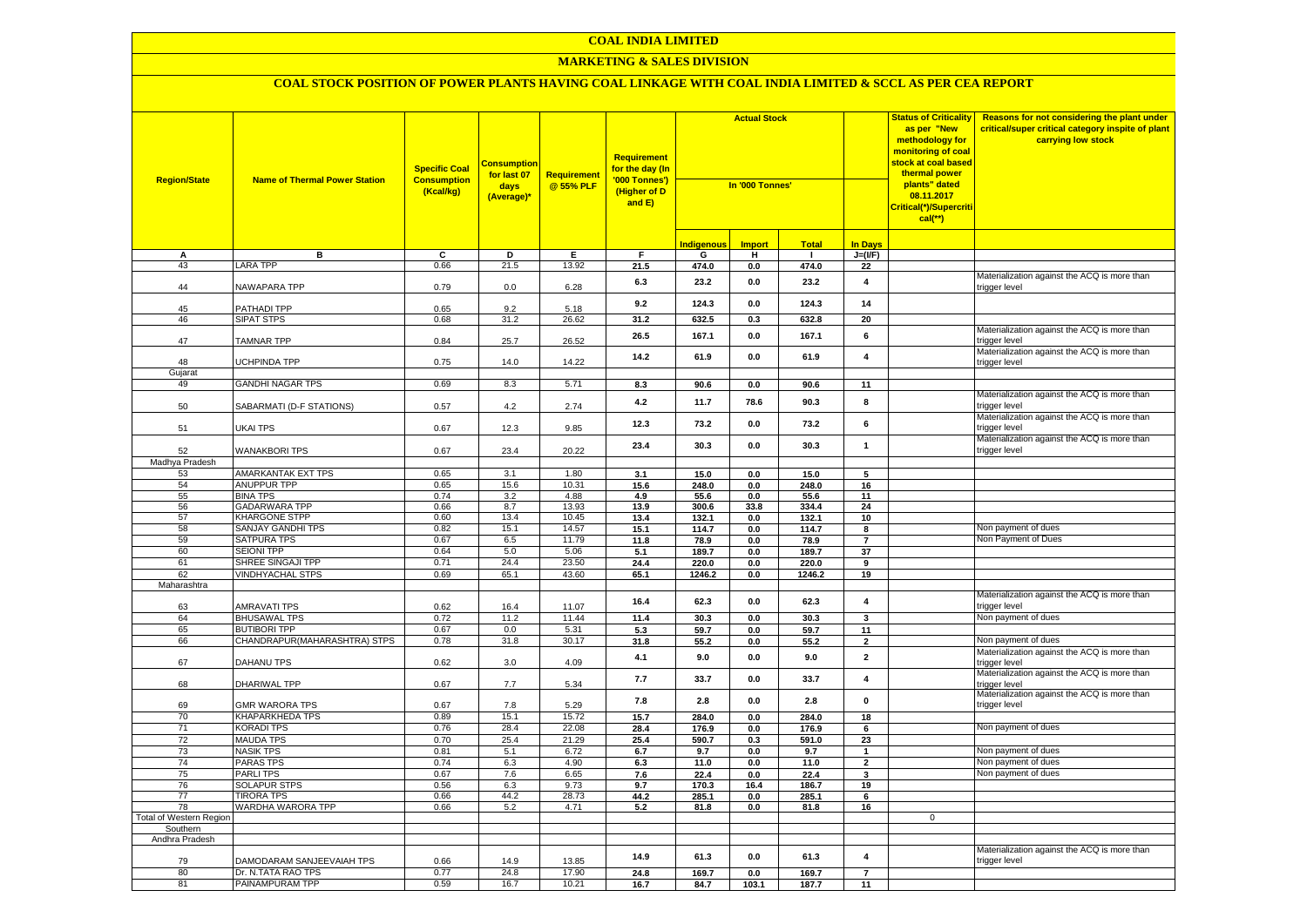## **MARKETING & SALES DIVISION**

| <b>Region/State</b>        | <b>Name of Thermal Power Station</b> | <b>Specific Coal</b><br><b>Consumption</b><br>(Kcal/kg) | <u>Consumptior</u><br>for last 07<br>days<br>(Average)* | <b>Requirement</b><br>@55% PLF | <b>Requirement</b><br>for the day (In<br>'000 Tonnes')<br>(Higher of D<br>and E) | <b>Actual Stock</b><br>In '000 Tonnes' |                    |               |                         | <b>Status of Criticality</b><br>as per "New<br>methodology for<br>monitoring of coal<br>stock at coal based<br>thermal power<br>plants" dated<br>08.11.2017<br>Critical(*)/Supercriti<br>$cal$ (**) | Reasons for not considering the plant under<br>critical/super critical category inspite of plant<br>carrying low stock |
|----------------------------|--------------------------------------|---------------------------------------------------------|---------------------------------------------------------|--------------------------------|----------------------------------------------------------------------------------|----------------------------------------|--------------------|---------------|-------------------------|-----------------------------------------------------------------------------------------------------------------------------------------------------------------------------------------------------|------------------------------------------------------------------------------------------------------------------------|
|                            |                                      |                                                         |                                                         |                                |                                                                                  | <b>Indigenous</b>                      | <b>Import</b>      | <b>Total</b>  | <b>In Days</b>          |                                                                                                                                                                                                     |                                                                                                                        |
| Α                          | в                                    | c                                                       | D                                                       | Е                              | F.                                                                               | G                                      | н                  | л.            | $J=(I/F)$               |                                                                                                                                                                                                     |                                                                                                                        |
| 43                         | <b>LARA TPP</b>                      | 0.66                                                    | 21.5                                                    | 13.92                          | 21.5                                                                             | 474.0                                  | 0.0                | 474.0         | 22                      |                                                                                                                                                                                                     |                                                                                                                        |
| 44                         | NAWAPARA TPP                         | 0.79                                                    | 0.0                                                     | 6.28                           | 6.3                                                                              | 23.2                                   | 0.0                | 23.2          | $\overline{4}$          |                                                                                                                                                                                                     | Materialization against the ACQ is more than<br>trigger level                                                          |
| 45                         |                                      |                                                         | 9.2                                                     |                                | 9.2                                                                              | 124.3                                  | 0.0                | 124.3         | 14                      |                                                                                                                                                                                                     |                                                                                                                        |
| 46                         | PATHADI TPP<br><b>SIPAT STPS</b>     | 0.65<br>0.68                                            | 31.2                                                    | 5.18<br>26.62                  | 31.2                                                                             | 632.5                                  | 0.3                | 632.8         | 20                      |                                                                                                                                                                                                     |                                                                                                                        |
| 47                         | <b>TAMNAR TPP</b>                    | 0.84                                                    | 25.7                                                    | 26.52                          | 26.5                                                                             | 167.1                                  | 0.0                | 167.1         | 6                       |                                                                                                                                                                                                     | Materialization against the ACQ is more than<br>trigger level                                                          |
| 48                         | <b>JCHPINDA TPP</b>                  | 0.75                                                    | 14.0                                                    | 14.22                          | 14.2                                                                             | 61.9                                   | $0.0\,$            | 61.9          | $\pmb{4}$               |                                                                                                                                                                                                     | Materialization against the ACQ is more than<br>trigger level                                                          |
| Gujarat                    |                                      |                                                         |                                                         |                                |                                                                                  |                                        |                    |               |                         |                                                                                                                                                                                                     |                                                                                                                        |
| 49                         | <b>GANDHI NAGAR TPS</b>              | 0.69                                                    | 8.3                                                     | 5.71                           | 8.3                                                                              | 90.6                                   | 0.0                | 90.6          | 11                      |                                                                                                                                                                                                     |                                                                                                                        |
| 50                         | SABARMATI (D-F STATIONS)             | 0.57                                                    | 4.2                                                     | 2.74                           | 4.2                                                                              | 11.7                                   | 78.6               | 90.3          | 8                       |                                                                                                                                                                                                     | Materialization against the ACQ is more than<br>trigger level                                                          |
| 51                         | UKAI TPS                             | 0.67                                                    | 12.3                                                    | 9.85                           | 12.3                                                                             | 73.2                                   | 0.0                | 73.2          | 6                       |                                                                                                                                                                                                     | Materialization against the ACQ is more than<br>trigger level                                                          |
| 52                         | <b>WANAKBORI TPS</b>                 | 0.67                                                    | 23.4                                                    | 20.22                          | 23.4                                                                             | 30.3                                   | $0.0\,$            | 30.3          | $\mathbf{1}$            |                                                                                                                                                                                                     | Materialization against the ACQ is more than<br>trigger level                                                          |
| Madhya Pradesh             | AMARKANTAK EXT TPS                   | 0.65                                                    | 3.1                                                     | 1.80                           |                                                                                  |                                        |                    |               |                         |                                                                                                                                                                                                     |                                                                                                                        |
| 53<br>54                   | <b>ANUPPUR TPP</b>                   | 0.65                                                    | 15.6                                                    | 10.31                          | 3.1<br>15.6                                                                      | 15.0<br>248.0                          | 0.0<br>0.0         | 15.0<br>248.0 | 5<br>16                 |                                                                                                                                                                                                     |                                                                                                                        |
| 55                         | <b>BINA TPS</b>                      | 0.74                                                    | 3.2                                                     | 4.88                           | 4.9                                                                              | 55.6                                   | 0.0                | 55.6          | 11                      |                                                                                                                                                                                                     |                                                                                                                        |
| 56                         | <b>GADARWARA TPP</b>                 | 0.66                                                    | 8.7                                                     | 13.93                          | 13.9                                                                             | 300.6                                  | 33.8               | 334.4         | 24                      |                                                                                                                                                                                                     |                                                                                                                        |
| 57                         | <b>KHARGONE STPP</b>                 | 0.60                                                    | 13.4                                                    | 10.45                          | 13.4                                                                             | 132.1                                  | 0.0                | 132.1         | 10                      |                                                                                                                                                                                                     |                                                                                                                        |
| 58                         | SANJAY GANDHI TPS                    | 0.82                                                    | 15.1                                                    | 14.57                          | 15.1                                                                             | 114.7                                  | 0.0                | 114.7         | 8                       |                                                                                                                                                                                                     | Non payment of dues                                                                                                    |
| 59                         | <b>SATPURA TPS</b>                   | 0.67                                                    | 6.5                                                     | 11.79                          | 11.8                                                                             | 78.9                                   | $0.0\,$            | 78.9          | $\overline{\mathbf{7}}$ |                                                                                                                                                                                                     | Non Payment of Dues                                                                                                    |
| 60                         | <b>SEIONI TPP</b>                    | 0.64                                                    | 5.0                                                     | 5.06                           | 5.1                                                                              | 189.7                                  | 0.0                | 189.7         | 37                      |                                                                                                                                                                                                     |                                                                                                                        |
| 61                         | SHREE SINGAJI TPP                    | 0.71                                                    | 24.4                                                    | 23.50                          | 24.4                                                                             | 220.0                                  | 0.0                | 220.0         | 9                       |                                                                                                                                                                                                     |                                                                                                                        |
| 62<br>Maharashtra          | <b>VINDHYACHAL STPS</b>              | 0.69                                                    | 65.1                                                    | 43.60                          | 65.1                                                                             | 1246.2                                 | 0.0                | 1246.2        | 19                      |                                                                                                                                                                                                     |                                                                                                                        |
| 63                         | <b>AMRAVATI TPS</b>                  | 0.62                                                    | 16.4                                                    | 11.07                          | 16.4                                                                             | 62.3                                   | 0.0                | 62.3          | 4                       |                                                                                                                                                                                                     | Materialization against the ACQ is more than<br>trigger level                                                          |
| 64                         | <b>BHUSAWAL TPS</b>                  | 0.72                                                    | 11.2                                                    | 11.44                          | 11.4                                                                             | 30.3                                   | 0.0                | 30.3          | 3                       |                                                                                                                                                                                                     | Non payment of dues                                                                                                    |
| 65                         | <b>BUTIBORI TPP</b>                  | 0.67                                                    | 0.0                                                     | 5.31                           | 5.3                                                                              | 59.7                                   | 0.0                | 59.7          | 11                      |                                                                                                                                                                                                     |                                                                                                                        |
| 66                         | CHANDRAPUR(MAHARASHTRA) STPS         | 0.78                                                    | 31.8                                                    | 30.17                          | 31.8                                                                             | 55.2                                   | $0.0\,$            | 55.2          | $\overline{\mathbf{2}}$ |                                                                                                                                                                                                     | Non payment of dues                                                                                                    |
| 67                         | DAHANU TPS                           | 0.62                                                    | 3.0                                                     | 4.09                           | 4.1                                                                              | 9.0                                    | 0.0                | 9.0           | $\mathbf 2$             |                                                                                                                                                                                                     | Materialization against the ACQ is more than<br>trigger level                                                          |
| 68                         | DHARIWAL TPP                         | 0.67                                                    | 7.7                                                     | 5.34                           | 7.7                                                                              | 33.7                                   | $0.0\,$            | 33.7          | $\overline{\mathbf{4}}$ |                                                                                                                                                                                                     | Materialization against the ACQ is more than<br>trigger level                                                          |
| 69                         | <b>GMR WARORA TPS</b>                | 0.67                                                    | 7.8                                                     | 5.29                           | 7.8                                                                              | 2.8                                    | 0.0                | 2.8           | $\mathbf 0$             |                                                                                                                                                                                                     | Materialization against the ACQ is more than<br>trigger level                                                          |
| 70                         | <b>KHAPARKHEDA TPS</b>               | 0.89                                                    | 15.1                                                    | 15.72                          | 15.7                                                                             | 284.0                                  | 0.0                | 284.0         | 18                      |                                                                                                                                                                                                     |                                                                                                                        |
| 71                         | <b>KORADI TPS</b>                    | 0.76<br>0.70                                            | 28.4<br>25.4                                            | 22.08<br>21.29                 | 28.4                                                                             | 176.9                                  | 0.0                | 176.9         | 6                       |                                                                                                                                                                                                     | Non payment of dues                                                                                                    |
| 72<br>73                   | <b>MAUDA TPS</b><br><b>NASIK TPS</b> | 0.81                                                    | 5.1                                                     | 6.72                           | 25.4                                                                             | 590.7<br>9.7                           | 0.3                | 591.0         | 23<br>$\overline{1}$    |                                                                                                                                                                                                     | Non payment of dues                                                                                                    |
| 74                         | <b>PARAS TPS</b>                     | 0.74                                                    | 6.3                                                     | 4.90                           | 6.7<br>6.3                                                                       | 11.0                                   | $0.0\,$<br>$0.0\,$ | 9.7<br>11.0   | $\overline{2}$          |                                                                                                                                                                                                     | Non payment of dues                                                                                                    |
| 75                         | <b>PARLITPS</b>                      | 0.67                                                    | 7.6                                                     | 6.65                           | 7.6                                                                              | 22.4                                   | 0.0                | 22.4          | 3                       |                                                                                                                                                                                                     | Non payment of dues                                                                                                    |
| 76                         | <b>SOLAPUR STPS</b>                  | 0.56                                                    | 6.3                                                     | 9.73                           | 9.7                                                                              | 170.3                                  | 16.4               | 186.7         | 19                      |                                                                                                                                                                                                     |                                                                                                                        |
| 77                         | <b>TIRORA TPS</b>                    | 0.66                                                    | 44.2                                                    | 28.73                          | 44.2                                                                             | 285.1                                  | 0.0                | 285.1         | 6                       |                                                                                                                                                                                                     |                                                                                                                        |
| 78                         | WARDHA WARORA TPP                    | 0.66                                                    | 5.2                                                     | 4.71                           | 5.2                                                                              | 81.8                                   | 0.0                | 81.8          | 16                      |                                                                                                                                                                                                     |                                                                                                                        |
| Total of Western Region    |                                      |                                                         |                                                         |                                |                                                                                  |                                        |                    |               |                         | $\mathbf{0}$                                                                                                                                                                                        |                                                                                                                        |
| Southern<br>Andhra Pradesh |                                      |                                                         |                                                         |                                |                                                                                  |                                        |                    |               |                         |                                                                                                                                                                                                     |                                                                                                                        |
| 79                         | DAMODARAM SANJEEVAIAH TPS            | 0.66                                                    | 14.9                                                    | 13.85                          | 14.9                                                                             | 61.3                                   | 0.0                | 61.3          | $\overline{4}$          |                                                                                                                                                                                                     | Materialization against the ACQ is more than<br>trigger level                                                          |
| 80                         | Dr. N.TATA RAO TPS                   | 0.77                                                    | 24.8                                                    | 17.90                          | 24.8                                                                             | 169.7                                  | 0.0                | 169.7         | $\overline{7}$          |                                                                                                                                                                                                     |                                                                                                                        |
| 81                         | PAINAMPURAM TPP                      | 0.59                                                    | 16.7                                                    | 10.21                          | 16.7                                                                             | 84.7                                   | 103.1              | 187.7         | 11                      |                                                                                                                                                                                                     |                                                                                                                        |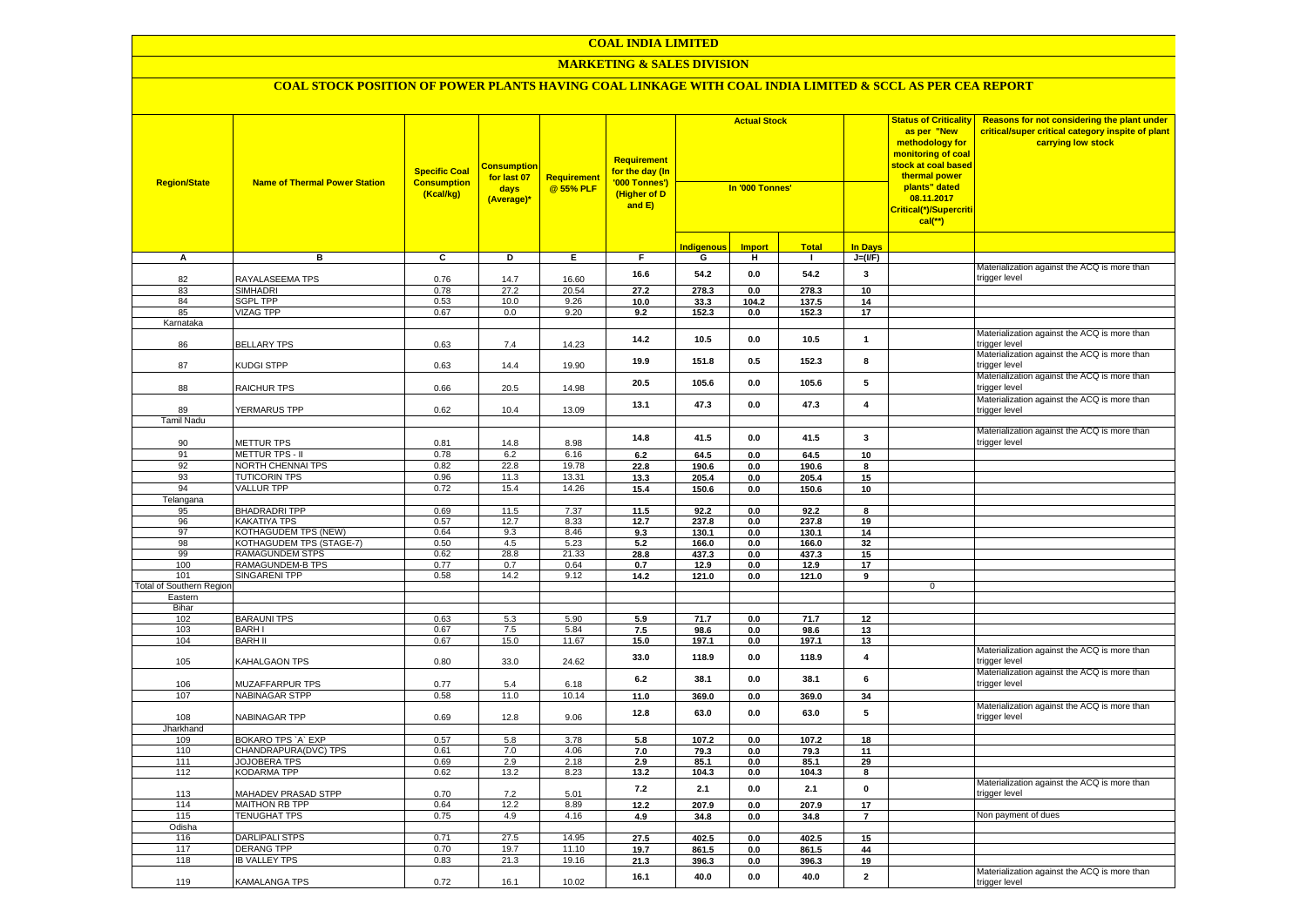### **MARKETING & SALES DIVISION**

| <b>Region/State</b>             | <b>Name of Thermal Power Station</b>               | <b>Specific Coal</b><br><b>Consumption</b><br>(Kcal/kg) | <b>Consumption</b><br>for last 07<br>days<br>(Average)* | Requirement<br>@ 55% PLF | <b>Requirement</b><br>for the day (In<br>'000 Tonnes')<br>(Higher of D<br>and E) | <b>Actual Stock</b><br>In '000 Tonnes' |                |                |                         | <b>Status of Criticality</b><br>as per "New<br>methodology for<br>monitoring of coal<br>stock at coal based<br>thermal power<br>plants" dated<br>08.11.2017<br>Critical(*)/Supercriti<br>$cal**$ | Reasons for not considering the plant under<br>critical/super critical category inspite of plant<br>carrying low stock |
|---------------------------------|----------------------------------------------------|---------------------------------------------------------|---------------------------------------------------------|--------------------------|----------------------------------------------------------------------------------|----------------------------------------|----------------|----------------|-------------------------|--------------------------------------------------------------------------------------------------------------------------------------------------------------------------------------------------|------------------------------------------------------------------------------------------------------------------------|
|                                 |                                                    |                                                         |                                                         |                          |                                                                                  | <b>Indigenous</b>                      | <b>Import</b>  | <b>Total</b>   | <b>In Days</b>          |                                                                                                                                                                                                  |                                                                                                                        |
| А                               | в                                                  | $\overline{c}$                                          | D                                                       | E                        | F                                                                                | G                                      | Ŧ              | $\mathbf{I}$   | $J=(I/F)$               |                                                                                                                                                                                                  |                                                                                                                        |
|                                 |                                                    |                                                         |                                                         |                          | 16.6                                                                             | 54.2                                   | 0.0            | 54.2           | 3                       |                                                                                                                                                                                                  | Materialization against the ACQ is more than                                                                           |
| 82                              | RAYALASEEMA TPS                                    | 0.76                                                    | 14.7                                                    | 16.60                    |                                                                                  |                                        |                |                |                         |                                                                                                                                                                                                  | trigger level                                                                                                          |
| 83                              | <b>SIMHADRI</b>                                    | 0.78                                                    | 27.2                                                    | 20.54                    | 27.2                                                                             | 278.3                                  | 0.0            | 278.3          | 10                      |                                                                                                                                                                                                  |                                                                                                                        |
| 84<br>85                        | <b>SGPL TPP</b><br><b>VIZAG TPP</b>                | 0.53<br>0.67                                            | 10.0<br>0.0                                             | 9.26<br>9.20             | 10.0<br>9.2                                                                      | 33.3                                   | 104.2          | 137.5          | 14<br>17                |                                                                                                                                                                                                  |                                                                                                                        |
| Karnataka                       |                                                    |                                                         |                                                         |                          |                                                                                  | 152.3                                  | 0.0            | 152.3          |                         |                                                                                                                                                                                                  |                                                                                                                        |
|                                 |                                                    |                                                         |                                                         |                          |                                                                                  |                                        |                |                |                         |                                                                                                                                                                                                  | Materialization against the ACQ is more than                                                                           |
| 86                              | <b>BELLARY TPS</b>                                 | 0.63                                                    | 7.4                                                     | 14.23                    | 14.2                                                                             | 10.5                                   | $0.0\,$        | 10.5           | $\mathbf{1}$            |                                                                                                                                                                                                  | trigger level                                                                                                          |
| 87                              | KUDGI STPP                                         | 0.63                                                    | 14.4                                                    | 19.90                    | 19.9                                                                             | 151.8                                  | 0.5            | 152.3          | 8                       |                                                                                                                                                                                                  | Materialization against the ACQ is more than<br>trigger level                                                          |
| 88                              | RAICHUR TPS                                        | 0.66                                                    | 20.5                                                    | 14.98                    | 20.5                                                                             | 105.6                                  | 0.0            | 105.6          | 5                       |                                                                                                                                                                                                  | Materialization against the ACQ is more than<br>trigger level                                                          |
|                                 |                                                    |                                                         |                                                         |                          | 13.1                                                                             | 47.3                                   | 0.0            | 47.3           | $\overline{\mathbf{4}}$ |                                                                                                                                                                                                  | Materialization against the ACQ is more than                                                                           |
| 89                              | YERMARUS TPP                                       | 0.62                                                    | 10.4                                                    | 13.09                    |                                                                                  |                                        |                |                |                         |                                                                                                                                                                                                  | trigger level                                                                                                          |
| <b>Tamil Nadu</b>               |                                                    |                                                         |                                                         |                          |                                                                                  |                                        |                |                |                         |                                                                                                                                                                                                  |                                                                                                                        |
| 90                              | <b>METTUR TPS</b>                                  | 0.81                                                    | 14.8                                                    | 8.98                     | 14.8                                                                             | 41.5                                   | 0.0            | 41.5           | 3                       |                                                                                                                                                                                                  | Materialization against the ACQ is more than<br>trigger level                                                          |
| 91                              | <b>METTUR TPS - II</b>                             | 0.78                                                    | 6.2                                                     | 6.16                     | 6.2                                                                              | 64.5                                   | 0.0            | 64.5           | 10                      |                                                                                                                                                                                                  |                                                                                                                        |
| 92                              | <b>NORTH CHENNAI TPS</b>                           | 0.82                                                    | 22.8                                                    | 19.78                    | 22.8                                                                             | 190.6                                  | 0.0            | 190.6          | 8                       |                                                                                                                                                                                                  |                                                                                                                        |
| 93                              | <b>TUTICORIN TPS</b>                               | 0.96                                                    | 11.3                                                    | 13.31                    | 13.3                                                                             | 205.4                                  | 0.0            | 205.4          | 15                      |                                                                                                                                                                                                  |                                                                                                                        |
| 94                              | <b>VALLUR TPP</b>                                  | 0.72                                                    | 15.4                                                    | 14.26                    | 15.4                                                                             | 150.6                                  | 0.0            | 150.6          | 10                      |                                                                                                                                                                                                  |                                                                                                                        |
| Telangana                       |                                                    |                                                         |                                                         |                          |                                                                                  |                                        |                |                |                         |                                                                                                                                                                                                  |                                                                                                                        |
| 95                              | <b>BHADRADRI TPP</b>                               | 0.69                                                    | 11.5                                                    | 7.37                     | 11.5                                                                             | 92.2                                   | 0.0            | 92.2           | 8                       |                                                                                                                                                                                                  |                                                                                                                        |
| 96                              | <b>KAKATIYA TPS</b>                                | 0.57                                                    | 12.7                                                    | 8.33                     | 12.7                                                                             | 237.8                                  | 0.0            | 237.8          | 19                      |                                                                                                                                                                                                  |                                                                                                                        |
| 97                              | <b>KOTHAGUDEM TPS (NEW)</b>                        | 0.64                                                    | 9.3                                                     | 8.46                     | 9.3                                                                              | 130.1                                  | 0.0            | 130.1          | 14                      |                                                                                                                                                                                                  |                                                                                                                        |
| 98<br>99                        | KOTHAGUDEM TPS (STAGE-7)<br><b>RAMAGUNDEM STPS</b> | 0.50<br>0.62                                            | 4.5<br>28.8                                             | 5.23<br>21.33            | 5.2                                                                              | 166.0<br>437.3                         | 0.0            | 166.0<br>437.3 | 32                      |                                                                                                                                                                                                  |                                                                                                                        |
| 100                             | <b>RAMAGUNDEM-B TPS</b>                            | 0.77                                                    | 0.7                                                     | 0.64                     | 28.8<br>0.7                                                                      | 12.9                                   | 0.0<br>0.0     | 12.9           | 15<br>17                |                                                                                                                                                                                                  |                                                                                                                        |
| 101                             | SINGARENI TPP                                      | 0.58                                                    | 14.2                                                    | 9.12                     | 14.2                                                                             | 121.0                                  | 0.0            | 121.0          | $\overline{9}$          |                                                                                                                                                                                                  |                                                                                                                        |
| <b>Total of Southern Region</b> |                                                    |                                                         |                                                         |                          |                                                                                  |                                        |                |                |                         | $\overline{0}$                                                                                                                                                                                   |                                                                                                                        |
| Eastern                         |                                                    |                                                         |                                                         |                          |                                                                                  |                                        |                |                |                         |                                                                                                                                                                                                  |                                                                                                                        |
| Bihar                           |                                                    |                                                         |                                                         |                          |                                                                                  |                                        |                |                |                         |                                                                                                                                                                                                  |                                                                                                                        |
| 102                             | <b>BARAUNI TPS</b>                                 | 0.63                                                    | 5.3                                                     | 5.90                     | 5.9                                                                              | 71.7                                   | 0.0            | 71.7           | 12                      |                                                                                                                                                                                                  |                                                                                                                        |
| 103<br>104                      | <b>BARHI</b><br><b>BARH II</b>                     | 0.67<br>0.67                                            | 7.5<br>15.0                                             | 5.84<br>11.67            | 7.5<br>15.0                                                                      | 98.6<br>197.1                          | 0.0<br>$0.0\,$ | 98.6<br>197.1  | 13<br>13                |                                                                                                                                                                                                  |                                                                                                                        |
| 105                             | KAHALGAON TPS                                      | 0.80                                                    | 33.0                                                    | 24.62                    | 33.0                                                                             | 118.9                                  | $0.0\,$        | 118.9          | $\overline{\mathbf{4}}$ |                                                                                                                                                                                                  | Materialization against the ACQ is more than<br>trigger level                                                          |
| 106                             | MUZAFFARPUR TPS                                    | 0.77                                                    | 5.4                                                     | 6.18                     | 6.2                                                                              | 38.1                                   | $0.0\,$        | 38.1           | 6                       |                                                                                                                                                                                                  | Materialization against the ACQ is more than<br>trigger level                                                          |
| 107                             | <b>NABINAGAR STPP</b>                              | 0.58                                                    | 11.0                                                    | 10.14                    | 11.0                                                                             | 369.0                                  | 0.0            | 369.0          | 34                      |                                                                                                                                                                                                  |                                                                                                                        |
|                                 |                                                    |                                                         |                                                         |                          |                                                                                  |                                        |                |                |                         |                                                                                                                                                                                                  | Materialization against the ACQ is more than                                                                           |
| 108                             | NABINAGAR TPP                                      | 0.69                                                    | 12.8                                                    | 9.06                     | 12.8                                                                             | 63.0                                   | 0.0            | 63.0           | 5                       |                                                                                                                                                                                                  | trigger level                                                                                                          |
| Jharkhand                       |                                                    |                                                         |                                                         |                          |                                                                                  |                                        |                |                |                         |                                                                                                                                                                                                  |                                                                                                                        |
| 109                             | BOKARO TPS `A` EXP                                 | 0.57                                                    | 5.8                                                     | 3.78                     | 5.8                                                                              | 107.2                                  | 0.0            | 107.2          | 18                      |                                                                                                                                                                                                  |                                                                                                                        |
| 110                             | CHANDRAPURA(DVC) TPS                               | 0.61                                                    | 7.0                                                     | 4.06                     | 7.0                                                                              | 79.3                                   | 0.0            | 79.3           | 11                      |                                                                                                                                                                                                  |                                                                                                                        |
| 111<br>112                      | <b>JOJOBERA TPS</b><br>KODARMA TPP                 | 0.69<br>0.62                                            | 2.9<br>13.2                                             | 2.18<br>8.23             | 2.9                                                                              | 85.1<br>104.3                          | 0.0<br>0.0     | 85.1<br>104.3  | 29<br>8                 |                                                                                                                                                                                                  |                                                                                                                        |
| 113                             | MAHADEV PRASAD STPP                                | 0.70                                                    | 7.2                                                     | 5.01                     | 13.2<br>7.2                                                                      | 2.1                                    | 0.0            | 2.1            | $\pmb{0}$               |                                                                                                                                                                                                  | Materialization against the ACQ is more than<br>trigger level                                                          |
| 114                             | <b>MAITHON RB TPP</b>                              | 0.64                                                    | 12.2                                                    | 8.89                     | 12.2                                                                             | 207.9                                  | 0.0            | 207.9          | 17                      |                                                                                                                                                                                                  |                                                                                                                        |
| 115                             | TENUGHAT TPS                                       | 0.75                                                    | 4.9                                                     | 4.16                     | 4.9                                                                              | 34.8                                   | 0.0            | 34.8           | $\overline{7}$          |                                                                                                                                                                                                  | Non payment of dues                                                                                                    |
| Odisha                          |                                                    |                                                         |                                                         |                          |                                                                                  |                                        |                |                |                         |                                                                                                                                                                                                  |                                                                                                                        |
| 116                             | DARLIPALI STPS                                     | 0.71                                                    | 27.5                                                    | 14.95                    | 27.5                                                                             | 402.5                                  | 0.0            | 402.5          | 15                      |                                                                                                                                                                                                  |                                                                                                                        |
| 117                             | DERANG TPP                                         | 0.70                                                    | 19.7                                                    | 11.10                    | 19.7                                                                             | 861.5                                  | 0.0            | 861.5          | 44                      |                                                                                                                                                                                                  |                                                                                                                        |
| 118                             | <b>IB VALLEY TPS</b>                               | 0.83                                                    | 21.3                                                    | 19.16                    | 21.3                                                                             | 396.3                                  | 0.0            | 396.3          | 19                      |                                                                                                                                                                                                  |                                                                                                                        |
| 119                             | <b>KAMALANGA TPS</b>                               | 0.72                                                    | 16.1                                                    | 10.02                    | 16.1                                                                             | 40.0                                   | 0.0            | 40.0           | $\overline{2}$          |                                                                                                                                                                                                  | Materialization against the ACQ is more than<br>trigger level                                                          |